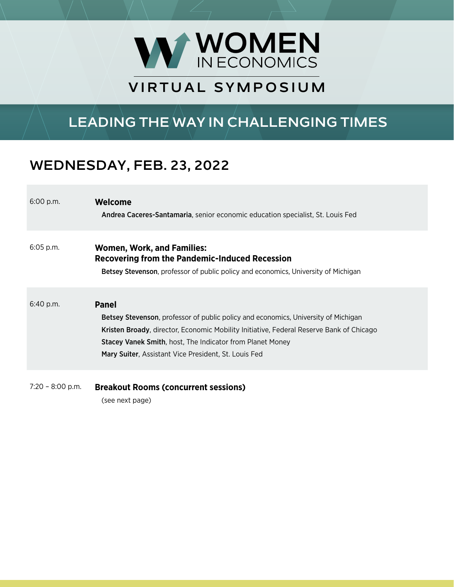

## **VIRTUAL SYMPOSIUM SYMPOSIUM**

# **LEADING THE WAY IN CHALLENGING TIMES**

### **WEDNESDAY, FEB. 23, 2022**

6:00 p.m. **Welcome** Andrea Caceres-Santamaria, senior economic education specialist, St. Louis Fed 6:05 p.m. **Women, Work, and Families: Recovering from the Pandemic-Induced Recession** Betsey Stevenson, professor of public policy and economics, University of Michigan 6:40 p.m. **Panel** Betsey Stevenson, professor of public policy and economics, University of Michigan Kristen Broady, director, Economic Mobility Initiative, Federal Reserve Bank of Chicago Stacey Vanek Smith, host, The Indicator from Planet Money Mary Suiter, Assistant Vice President, St. Louis Fed

7:20 – 8:00 p.m. **Breakout Rooms (concurrent sessions)**

(see next page)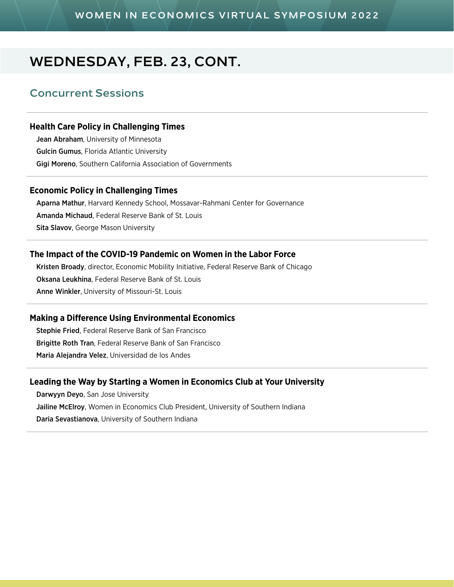### **WOMEN IN ECONOMICS VIRTUAL SYMPOSIUM 2022**

### **WEDNESDAY, FEB. 23, CONT.**

### **Concurrent Sessions**

#### **Health Care Policy in Challenging Times**

Jean Abraham, University of Minnesota Gulcin Gumus, Florida Atlantic University Gigi Moreno, Southern California Association of Governments

#### **Economic Policy in Challenging Times**

Aparna Mathur, Harvard Kennedy School, Mossavar-Rahmani Center for Governance Amanda Michaud, Federal Reserve Bank of St. Louis Sita Slavov, George Mason University

#### **The Impact of the COVID-19 Pandemic on Women in the Labor Force**

Kristen Broady, director, Economic Mobility Initiative, Federal Reserve Bank of Chicago Oksana Leukhina, Federal Reserve Bank of St. Louis Anne Winkler, University of Missouri-St. Louis

#### **Making a Difference Using Environmental Economics**

Stephie Fried, Federal Reserve Bank of San Francisco Brigitte Roth Tran, Federal Reserve Bank of San Francisco Maria Alejandra Velez, Universidad de los Andes

#### **Leading the Way by Starting a Women in Economics Club at Your University**

Darwyyn Deyo, San Jose University Jailine McElroy, Women in Economics Club President, University of Southern Indiana Daria Sevastianova, University of Southern Indiana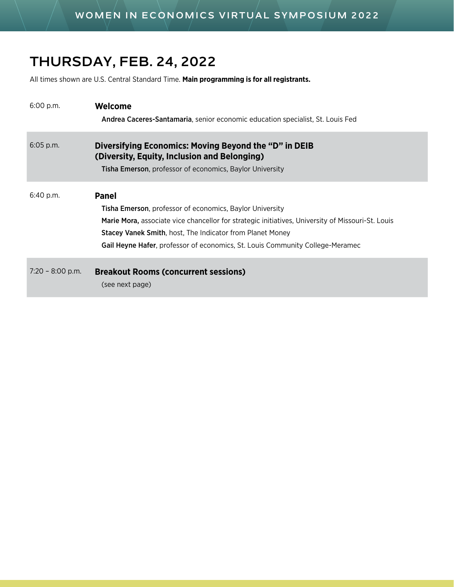## **THURSDAY, FEB. 24, 2022**

All times shown are U.S. Central Standard Time. **Main programming is for all registrants.**

| 6:00 p.m.          | Welcome<br>Andrea Caceres-Santamaria, senior economic education specialist, St. Louis Fed                                                                                                                                                                                                                                                  |
|--------------------|--------------------------------------------------------------------------------------------------------------------------------------------------------------------------------------------------------------------------------------------------------------------------------------------------------------------------------------------|
| $6:05$ p.m.        | Diversifying Economics: Moving Beyond the "D" in DEIB<br>(Diversity, Equity, Inclusion and Belonging)<br>Tisha Emerson, professor of economics, Baylor University                                                                                                                                                                          |
| 6:40 p.m.          | <b>Panel</b><br><b>Tisha Emerson</b> , professor of economics, Baylor University<br>Marie Mora, associate vice chancellor for strategic initiatives, University of Missouri-St. Louis<br><b>Stacey Vanek Smith, host, The Indicator from Planet Money</b><br>Gail Heyne Hafer, professor of economics, St. Louis Community College-Meramec |
| $7:20 - 8:00$ p.m. | <b>Breakout Rooms (concurrent sessions)</b><br>(see next page)                                                                                                                                                                                                                                                                             |